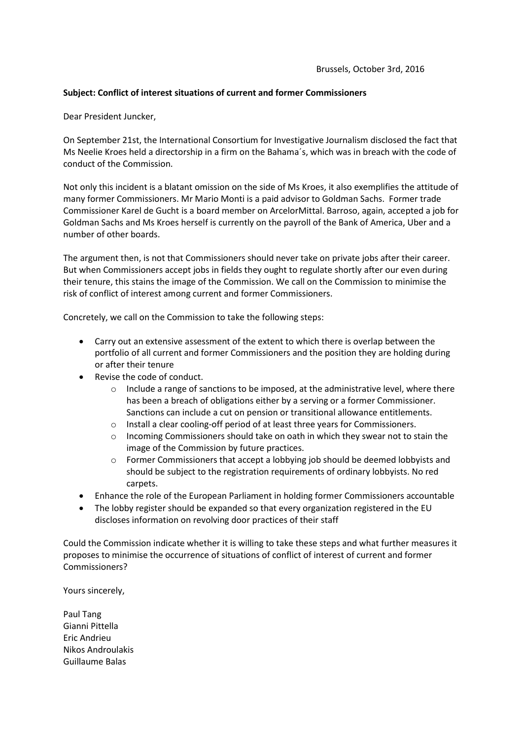## **Subject: Conflict of interest situations of current and former Commissioners**

Dear President Juncker,

On September 21st, the International Consortium for Investigative Journalism disclosed the fact that Ms Neelie Kroes held a directorship in a firm on the Bahama´s, which was in breach with the code of conduct of the Commission.

Not only this incident is a blatant omission on the side of Ms Kroes, it also exemplifies the attitude of many former Commissioners. Mr Mario Monti is a paid advisor to Goldman Sachs. Former trade Commissioner Karel de Gucht is a board member on ArcelorMittal. Barroso, again, accepted a job for Goldman Sachs and Ms Kroes herself is currently on the payroll of the Bank of America, Uber and a number of other boards.

The argument then, is not that Commissioners should never take on private jobs after their career. But when Commissioners accept jobs in fields they ought to regulate shortly after our even during their tenure, this stains the image of the Commission. We call on the Commission to minimise the risk of conflict of interest among current and former Commissioners.

Concretely, we call on the Commission to take the following steps:

- Carry out an extensive assessment of the extent to which there is overlap between the portfolio of all current and former Commissioners and the position they are holding during or after their tenure
- Revise the code of conduct.
	- o Include a range of sanctions to be imposed, at the administrative level, where there has been a breach of obligations either by a serving or a former Commissioner. Sanctions can include a cut on pension or transitional allowance entitlements.
	- o Install a clear cooling-off period of at least three years for Commissioners.
	- o Incoming Commissioners should take on oath in which they swear not to stain the image of the Commission by future practices.
	- $\circ$  Former Commissioners that accept a lobbying job should be deemed lobbyists and should be subject to the registration requirements of ordinary lobbyists. No red carpets.
- Enhance the role of the European Parliament in holding former Commissioners accountable
- The lobby register should be expanded so that every organization registered in the EU discloses information on revolving door practices of their staff

Could the Commission indicate whether it is willing to take these steps and what further measures it proposes to minimise the occurrence of situations of conflict of interest of current and former Commissioners?

Yours sincerely,

Paul Tang Gianni Pittella Eric Andrieu Nikos Androulakis Guillaume Balas